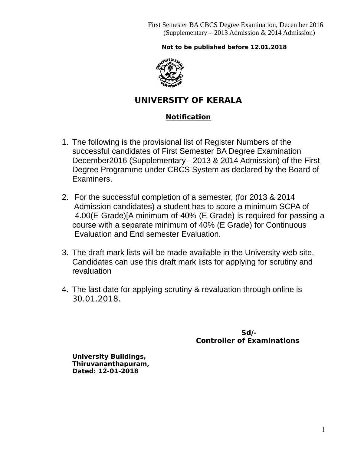## **Not to be published before 12.01.2018**



# **UNIVERSITY OF KERALA**

## **Notification**

- 1. The following is the provisional list of Register Numbers of the successful candidates of First Semester BA Degree Examination December2016 (Supplementary - 2013 & 2014 Admission) of the First Degree Programme under CBCS System as declared by the Board of Examiners.
- 2. For the successful completion of a semester, (for 2013 & 2014 Admission candidates) a student has to score a minimum SCPA of 4.00(E Grade)[A minimum of 40% (E Grade) is required for passing a course with a separate minimum of 40% (E Grade) for Continuous Evaluation and End semester Evaluation.
- 3. The draft mark lists will be made available in the University web site. Candidates can use this draft mark lists for applying for scrutiny and revaluation
- 4. The last date for applying scrutiny & revaluation through online is 30.01.2018.

 **Sd/- Controller of Examinations** 

**University Buildings, Thiruvananthapuram, Dated: 12-01-2018**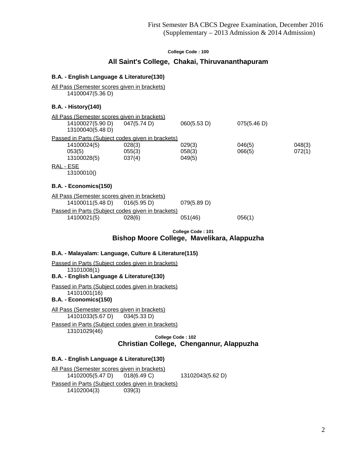### **All Saint's College, Chakai, Thiruvananthapuram**

### **B.A. - English Language & Literature(130)**

All Pass (Semester scores given in brackets) 14100047(5.36 D)

### **B.A. - History(140)**

|           | All Pass (Semester scores given in brackets) |                                                   |             |             |        |
|-----------|----------------------------------------------|---------------------------------------------------|-------------|-------------|--------|
|           | 14100027(5.90 D)                             | 047(5.74 D)                                       | 060(5.53 D) | 075(5.46 D) |        |
|           | 13100040(5.48 D)                             |                                                   |             |             |        |
|           |                                              | Passed in Parts (Subject codes given in brackets) |             |             |        |
|           | 14100024(5)                                  | 028(3)                                            | 029(3)      | 046(5)      | 048(3) |
|           | 053(5)                                       | 055(3)                                            | 058(3)      | 066(5)      | 072(1) |
|           | 13100028(5)                                  | 037(4)                                            | 049(5)      |             |        |
| RAL - ESE |                                              |                                                   |             |             |        |
|           | 13100010()                                   |                                                   |             |             |        |

#### **B.A. - Economics(150)**

| All Pass (Semester scores given in brackets) |                                                   |             |        |  |  |
|----------------------------------------------|---------------------------------------------------|-------------|--------|--|--|
| 14100011(5.48 D) 016(5.95 D)                 |                                                   | 079(5.89 D) |        |  |  |
|                                              | Passed in Parts (Subject codes given in brackets) |             |        |  |  |
| 14100021(5)                                  | 028(6)                                            | 051(46)     | 056(1) |  |  |
|                                              |                                                   |             |        |  |  |

 **College Code : 101**

**Bishop Moore College, Mavelikara, Alappuzha**

### **B.A. - Malayalam: Language, Culture & Literature(115)**

Passed in Parts (Subject codes given in brackets) 13101008(1)

**B.A. - English Language & Literature(130)**

Passed in Parts (Subject codes given in brackets) 14101001(16)

**B.A. - Economics(150)**

All Pass (Semester scores given in brackets) 14101033(5.67 D) 034(5.33 D)

Passed in Parts (Subject codes given in brackets) 13101029(46)

 **College Code : 102 Christian College, Chengannur, Alappuzha**

#### **B.A. - English Language & Literature(130)**

All Pass (Semester scores given in brackets) 14102005(5.47 D) 018(6.49 C) 13102043(5.62 D) Passed in Parts (Subject codes given in brackets) 14102004(3) 039(3)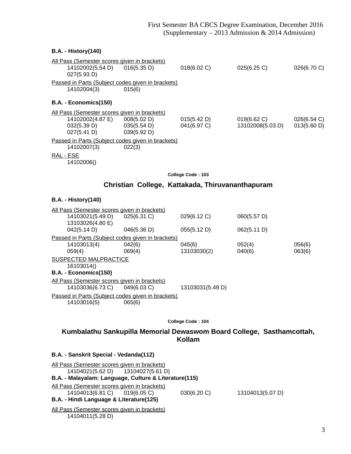## **B.A. - History(140)** All Pass (Semester scores given in brackets) 14102002(5.54 D) 016(5.35 D) 018(6.02 C) 025(6.25 C) 026(6.70 C) 027(5.93 D) Passed in Parts (Subject codes given in brackets) 14102004(3) 015(6) **B.A. - Economics(150)** All Pass (Semester scores given in brackets) 14102002(4.87 E) 008(5.02 D) 015(5.42 D) 019(6.62 C) 026(6.54 C) 032(5.39 D) 035(5.54 D) 041(6.97 C) 13102008(5.03 D) 013(5.60 D)<br>027(5.41 D) 039(5.92 D)  $027(5.41 D)$ Passed in Parts (Subject codes given in brackets) 14102007(3) 022(3) RAL - ESE 14102006() **College Code : 103 Christian College, Kattakada, Thiruvananthapuram B.A. - History(140)**

|                                                   | All Pass (Semester scores given in brackets)        |                                                   |                  |             |        |
|---------------------------------------------------|-----------------------------------------------------|---------------------------------------------------|------------------|-------------|--------|
|                                                   | 14103021(5.49 D)                                    | 025(6.31 C)                                       | 029(6.12 C)      | 060(5.57 D) |        |
|                                                   | 13103026(4.80 E)                                    |                                                   |                  |             |        |
|                                                   | 042(5.14 D)                                         | 046(5.36 D)                                       | 055(5.12 D)      | 062(5.11 D) |        |
|                                                   |                                                     | Passed in Parts (Subject codes given in brackets) |                  |             |        |
|                                                   | 14103013(4)                                         | 042(6)                                            | 045(6)           | 052(4)      | 056(6) |
|                                                   | 059(4)                                              | 069(4)                                            | 13103030(2)      | 040(6)      | 063(6) |
|                                                   | SUSPECTED MALPRACTICE                               |                                                   |                  |             |        |
|                                                   | 16103014()                                          |                                                   |                  |             |        |
|                                                   | B.A. - Economics(150)                               |                                                   |                  |             |        |
|                                                   | <u>All Pass (Semester scores given in brackets)</u> |                                                   |                  |             |        |
|                                                   | 14103036(6.73 C)                                    | $049(6.03)$ C)                                    | 13103031(5.49 D) |             |        |
| Passed in Parts (Subject codes given in brackets) |                                                     |                                                   |                  |             |        |
|                                                   | 14103016(5)                                         | 065(6)                                            |                  |             |        |
|                                                   |                                                     |                                                   |                  |             |        |

**College Code : 104**

## **Kumbalathu Sankupilla Memorial Dewaswom Board College, Sasthamcottah, Kollam**

| B.A. - Sanskrit Special - Vedanda(112)                                                     |             |                  |
|--------------------------------------------------------------------------------------------|-------------|------------------|
| All Pass (Semester scores given in brackets)                                               |             |                  |
| 14104021(5.62 D) 13104027(5.61 D)<br>B.A. - Malayalam: Language, Culture & Literature(115) |             |                  |
|                                                                                            |             |                  |
| All Pass (Semester scores given in brackets)                                               |             |                  |
| 14104013(6.81 C) 019(6.05 C)                                                               | 030(6.20 C) | 13104013(5.07 D) |
| B.A. - Hindi Language & Literature(125)                                                    |             |                  |
| All Pass (Semester scores given in brackets)                                               |             |                  |
| 14104011(5.28 D)                                                                           |             |                  |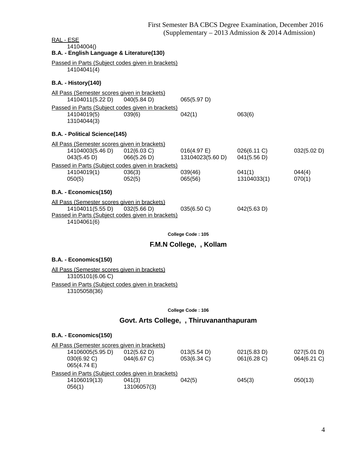| <u>RAL - ESE</u>                                     |                                                   |                                             |             |             |
|------------------------------------------------------|---------------------------------------------------|---------------------------------------------|-------------|-------------|
| 14104004()                                           |                                                   |                                             |             |             |
| B.A. - English Language & Literature(130)            |                                                   |                                             |             |             |
|                                                      | Passed in Parts (Subject codes given in brackets) |                                             |             |             |
| 14104041(4)                                          |                                                   |                                             |             |             |
|                                                      |                                                   |                                             |             |             |
| <b>B.A. - History(140)</b>                           |                                                   |                                             |             |             |
| <u> All Pass (Semester scores given in brackets)</u> |                                                   |                                             |             |             |
| 14104011(5.22 D) 040(5.84 D)                         |                                                   | 065(5.97 D)                                 |             |             |
|                                                      | Passed in Parts (Subject codes given in brackets) |                                             |             |             |
| 14104019(5)                                          | 039(6)                                            | 042(1)                                      | 063(6)      |             |
| 13104044(3)                                          |                                                   |                                             |             |             |
|                                                      |                                                   |                                             |             |             |
| B.A. - Political Science(145)                        |                                                   |                                             |             |             |
| All Pass (Semester scores given in brackets)         |                                                   |                                             |             |             |
| 14104003(5.46 D) 012(6.03 C)                         |                                                   | $016(4.97 \text{ E})$ $026(6.11 \text{ C})$ |             | 032(5.02 D) |
| $043(5.45 \text{ D})$ 066(5.26 D)                    |                                                   | 13104023(5.60 D) 041(5.56 D)                |             |             |
|                                                      | Passed in Parts (Subject codes given in brackets) |                                             |             |             |
| 14104019(1)                                          | 036(3)                                            | 039(46)                                     | 041(1)      | 044(4)      |
| 050(5)                                               | 052(5)                                            | 065(56)                                     | 13104033(1) | 070(1)      |
|                                                      |                                                   |                                             |             |             |
| B.A. - Economics(150)                                |                                                   |                                             |             |             |
| All Pass (Semester scores given in brackets)         |                                                   |                                             |             |             |
| 14104011(5.55 D) 032(5.66 D)                         |                                                   | 035(6.50 C)                                 | 042(5.63 D) |             |
|                                                      | Passed in Parts (Subject codes given in brackets) |                                             |             |             |
| 14104061(6)                                          |                                                   |                                             |             |             |
|                                                      |                                                   |                                             |             |             |

## **F.M.N College, , Kollam**

### **B.A. - Economics(150)**

All Pass (Semester scores given in brackets) 13105101(6.06 C) Passed in Parts (Subject codes given in brackets) 13105058(36)

#### **College Code : 106**

# **Govt. Arts College, , Thiruvananthapuram**

## **B.A. - Economics(150)**

| All Pass (Semester scores given in brackets)      |             |             |             |             |  |
|---------------------------------------------------|-------------|-------------|-------------|-------------|--|
| 14106005(5.95 D)                                  | 012(5.62 D) | 013(5.54 D) | 021(5.83 D) | 027(5.01 D) |  |
| 030(6.92 C)                                       | 044(6.67 C) | 053(6.34 C) | 061(6.28 C) | 064(6.21 C) |  |
| 065(4.74 E)                                       |             |             |             |             |  |
| Passed in Parts (Subject codes given in brackets) |             |             |             |             |  |
| 14106019(13)                                      | 041(3)      | 042(5)      | 045(3)      | 050(13)     |  |
| 056(1)                                            | 13106057(3) |             |             |             |  |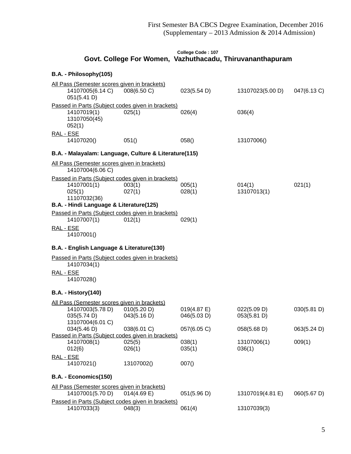## **College Code : 107 Govt. College For Women, Vazhuthacadu, Thiruvananthapuram**

## **B.A. - Philosophy(105)**

| All Pass (Semester scores given in brackets)                     |                  |                       |                       |             |
|------------------------------------------------------------------|------------------|-----------------------|-----------------------|-------------|
| 14107005(6.14 C)<br>051(5.41 D)                                  | 008(6.50 C)      | 023(5.54 D)           | 13107023(5.00 D)      | 047(6.13 C) |
| Passed in Parts (Subject codes given in brackets)                |                  |                       |                       |             |
| 14107019(1)<br>13107050(45)<br>052(1)                            | 025(1)           | 026(4)                | 036(4)                |             |
| RAL - ESE                                                        |                  |                       |                       |             |
| 14107020()                                                       | 051()            | 058()                 | 13107006()            |             |
| B.A. - Malayalam: Language, Culture & Literature(115)            |                  |                       |                       |             |
| All Pass (Semester scores given in brackets)<br>14107004(6.06 C) |                  |                       |                       |             |
| Passed in Parts (Subject codes given in brackets)                |                  |                       |                       |             |
| 14107001(1)<br>025(1)<br>11107032(36)                            | 003(1)<br>027(1) | 005(1)<br>028(1)      | 014(1)<br>13107013(1) | 021(1)      |
| B.A. - Hindi Language & Literature(125)                          |                  |                       |                       |             |
| Passed in Parts (Subject codes given in brackets)<br>14107007(1) | 012(1)           | 029(1)                |                       |             |
| RAL - ESE<br>14107001()                                          |                  |                       |                       |             |
| B.A. - English Language & Literature(130)                        |                  |                       |                       |             |
| Passed in Parts (Subject codes given in brackets)<br>14107034(1) |                  |                       |                       |             |
| RAL - ESE<br>14107028()                                          |                  |                       |                       |             |
| <b>B.A. - History(140)</b>                                       |                  |                       |                       |             |
| All Pass (Semester scores given in brackets)                     |                  |                       |                       |             |
| 14107003(5.78 D)                                                 | 010(5.20 D)      | $019(4.87 \text{ E})$ | 022(5.09 D)           | 030(5.81 D) |
| 035(5.74 D)                                                      | 043(5.16 D)      | 046(5.03 D)           | 053(5.81 D)           |             |
| 13107004(6.01 C)                                                 |                  |                       |                       |             |
| 034(5.46 D)                                                      | 038(6.01 C)      | 057(6.05 C)           | 058(5.68 D)           | 063(5.24 D) |
| Passed in Parts (Subject codes given in brackets)                |                  |                       |                       |             |
| 14107008(1)<br>012(6)                                            | 025(5)<br>026(1) | 038(1)<br>035(1)      | 13107006(1)<br>036(1) | 009(1)      |
|                                                                  |                  |                       |                       |             |
| RAL - ESE<br>14107021()                                          | 13107002()       | 007()                 |                       |             |
| B.A. - Economics(150)                                            |                  |                       |                       |             |
| All Pass (Semester scores given in brackets)<br>14107001(5.70 D) | 014(4.69 E)      | 051(5.96 D)           | 13107019(4.81 E)      | 060(5.67 D) |
| Passed in Parts (Subject codes given in brackets)<br>14107033(3) | 048(3)           | 061(4)                | 13107039(3)           |             |
|                                                                  |                  |                       |                       |             |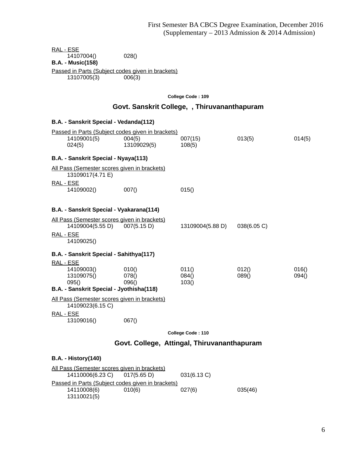RAL - ESE 14107004() 028() **B.A. - Music(158)** Passed in Parts (Subject codes given in brackets) 13107005(3) 006(3)

**College Code : 109**

## **Govt. Sanskrit College, , Thiruvananthapuram**

| <b>B.A. - Sanskrit Special - Vedanda(112)</b>                                                     |                                                                            |                              |                |                |  |  |
|---------------------------------------------------------------------------------------------------|----------------------------------------------------------------------------|------------------------------|----------------|----------------|--|--|
| 14109001(5)<br>024(5)                                                                             | Passed in Parts (Subject codes given in brackets)<br>004(5)<br>13109029(5) | 007(15)<br>108(5)            | 013(5)         | 014(5)         |  |  |
| B.A. - Sanskrit Special - Nyaya(113)                                                              |                                                                            |                              |                |                |  |  |
| All Pass (Semester scores given in brackets)<br>13109017(4.71 E)                                  |                                                                            |                              |                |                |  |  |
| <u>RAL - ESE</u><br>14109002()                                                                    | 007()                                                                      | 015()                        |                |                |  |  |
| B.A. - Sanskrit Special - Vyakarana(114)                                                          |                                                                            |                              |                |                |  |  |
| All Pass (Semester scores given in brackets)<br>14109004(5.55 D) 007(5.15 D)                      |                                                                            |                              |                |                |  |  |
| <u>RAL - ESE</u><br>14109025()                                                                    |                                                                            | 13109004(5.88 D) 038(6.05 C) |                |                |  |  |
| B.A. - Sanskrit Special - Sahithya(117)                                                           |                                                                            |                              |                |                |  |  |
| <u>RAL - ESE</u><br>14109003()<br>13109075()<br>095()<br>B.A. - Sanskrit Special - Jyothisha(118) | 010()<br>078()<br>096()                                                    | 011()<br>084()<br>103()      | 012()<br>089() | 016()<br>094() |  |  |
| All Pass (Semester scores given in brackets)                                                      |                                                                            |                              |                |                |  |  |
| 14109023(6.15 C)                                                                                  |                                                                            |                              |                |                |  |  |
| RAL - ESE<br>13109016()                                                                           | 067()                                                                      |                              |                |                |  |  |
|                                                                                                   |                                                                            | College Code: 110            |                |                |  |  |
| Govt. College, Attingal, Thiruvananthapuram                                                       |                                                                            |                              |                |                |  |  |

All Pass (Semester scores given in brackets) 14110006(6.23 C) 017(5.65 D) 031(6.13 C) Passed in Parts (Subject codes given in brackets)<br>14110008(6) 010(6) 14110008(6) 010(6) 027(6) 035(46) 13110021(5)

**B.A. - History(140)**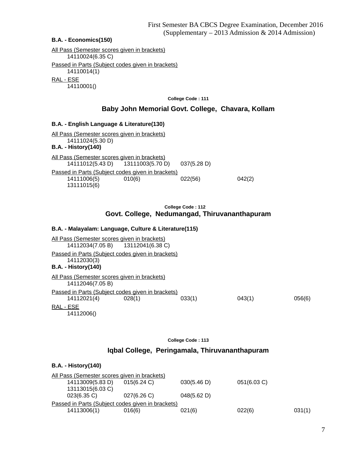### **B.A. - Economics(150)**

All Pass (Semester scores given in brackets) 14110024(6.35 C) Passed in Parts (Subject codes given in brackets) 14110014(1) RAL - ESE 14110001()

**College Code : 111**

### **Baby John Memorial Govt. College, Chavara, Kollam**

### **B.A. - English Language & Literature(130)**

All Pass (Semester scores given in brackets) 14111024(5.30 D) **B.A. - History(140)** All Pass (Semester scores given in brackets) 14111012(5.43 D) 13111003(5.70 D) 037(5.28 D) Passed in Parts (Subject codes given in brackets) 14111006(5) 010(6) 022(56) 042(2) 13111015(6)

### **College Code : 112 Govt. College, Nedumangad, Thiruvananthapuram**

### **B.A. - Malayalam: Language, Culture & Literature(115)**

All Pass (Semester scores given in brackets) 14112034(7.05 B) 13112041(6.38 C) Passed in Parts (Subject codes given in brackets) 14112030(3) **B.A. - History(140)** All Pass (Semester scores given in brackets) 14112046(7.05 B) Passed in Parts (Subject codes given in brackets) 14112021(4) 028(1) 033(1) 043(1) 056(6) RAL - ESE 14112006()

**College Code : 113**

### **Iqbal College, Peringamala, Thiruvananthapuram**

#### **B.A. - History(140)**

| All Pass (Semester scores given in brackets) |                                                   |             |             |        |
|----------------------------------------------|---------------------------------------------------|-------------|-------------|--------|
| 14113009(5.83 D)                             | $015(6.24)$ C)                                    | 030(5.46 D) | 051(6.03 C) |        |
| 13113015(6.03 C)                             |                                                   |             |             |        |
| $023(6.35)$ C)                               | 027(6.26)                                         | 048(5.62 D) |             |        |
|                                              | Passed in Parts (Subject codes given in brackets) |             |             |        |
| 14113006(1)                                  | 016(6)                                            | 021(6)      | 022(6)      | 031(1) |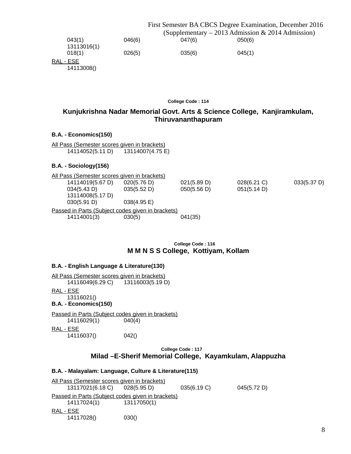|                       |        | First Semester BA CBCS Degree Examination, December 2016 |                                                     |  |  |
|-----------------------|--------|----------------------------------------------------------|-----------------------------------------------------|--|--|
|                       |        |                                                          | (Supplementary $-$ 2013 Admission & 2014 Admission) |  |  |
| 043(1)<br>13113016(1) | 046(6) | 047(6)                                                   | 050(6)                                              |  |  |
| 018(1)                | 026(5) | 035(6)                                                   | 045(1)                                              |  |  |
| RAL - ESE             |        |                                                          |                                                     |  |  |

14113008()

**College Code : 114**

## **Kunjukrishna Nadar Memorial Govt. Arts & Science College, Kanjiramkulam, Thiruvananthapuram**

### **B.A. - Economics(150)**

All Pass (Semester scores given in brackets) 14114052(5.11 D) 13114007(4.75 E)

### **B.A. - Sociology(156)**

|                                                   | All Pass (Semester scores given in brackets) |                       |             |             |             |  |
|---------------------------------------------------|----------------------------------------------|-----------------------|-------------|-------------|-------------|--|
|                                                   | 14114019(5.67 D)                             | 020(5.76 D)           | 021(5.89 D) | 028(6.21 C) | 033(5.37 D) |  |
|                                                   | 034(5.43 D)                                  | 035(5.52 D)           | 050(5.56 D) | 051(5.14 D) |             |  |
|                                                   | 13114008(5.17 D)                             |                       |             |             |             |  |
|                                                   | 030(5.91 D)                                  | $038(4.95 \text{ E})$ |             |             |             |  |
| Passed in Parts (Subject codes given in brackets) |                                              |                       |             |             |             |  |
|                                                   | 14114001(3)                                  | 030(5)                | 041(35)     |             |             |  |
|                                                   |                                              |                       |             |             |             |  |

### **College Code : 116 M M N S S College, Kottiyam, Kollam**

## **B.A. - English Language & Literature(130)**

All Pass (Semester scores given in brackets)

14116049(6.29 C) 13116003(5.19 D)

RAL - ESE

13116021()

**B.A. - Economics(150)**

Passed in Parts (Subject codes given in brackets) 14116029(1) 040(4) RAL - ESE

14116037() 042()

## **College Code : 117**

## **Milad –E-Sherif Memorial College, Kayamkulam, Alappuzha**

### **B.A. - Malayalam: Language, Culture & Literature(115)**

All Pass (Semester scores given in brackets) 13117021(6.18 C) 028(5.95 D) 035(6.19 C) 045(5.72 D) Passed in Parts (Subject codes given in brackets) 14117024(1) 13117050(1) RAL - ESE 14117028() 030()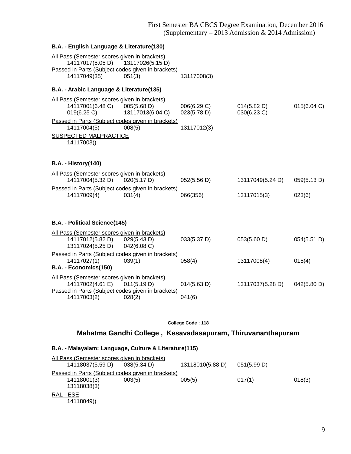### **B.A. - English Language & Literature(130)**

| All Pass (Semester scores given in brackets)        |                  |             |                  |             |
|-----------------------------------------------------|------------------|-------------|------------------|-------------|
| 14117017(5.05 D)                                    | 13117026(5.15 D) |             |                  |             |
| Passed in Parts (Subject codes given in brackets)   |                  |             |                  |             |
| 14117049(35)                                        | 051(3)           | 13117008(3) |                  |             |
| B.A. - Arabic Language & Literature(135)            |                  |             |                  |             |
| <u>All Pass (Semester scores given in brackets)</u> |                  |             |                  |             |
| 14117001(6.48 C)                                    | 005(5.68 D)      | 006(6.29 C) | 014(5.82 D)      | 015(6.04 C) |
| 019(6.25 C)                                         | 13117013(6.04 C) | 023(5.78 D) | 030(6.23 C)      |             |
| Passed in Parts (Subject codes given in brackets)   |                  |             |                  |             |
| 14117004(5)                                         | 008(5)           | 13117012(3) |                  |             |
| <b>SUSPECTED MALPRACTICE</b>                        |                  |             |                  |             |
| 14117003()                                          |                  |             |                  |             |
|                                                     |                  |             |                  |             |
| <b>B.A. - History(140)</b>                          |                  |             |                  |             |
|                                                     |                  |             |                  |             |
| All Pass (Semester scores given in brackets)        |                  |             |                  |             |
| 14117004(5.32 D)                                    | 020(5.17 D)      | 052(5.56 D) | 13117049(5.24 D) | 059(5.13 D) |
| Passed in Parts (Subject codes given in brackets)   |                  |             |                  |             |
| 14117009(4)                                         | 031(4)           | 066(356)    | 13117015(3)      | 023(6)      |
|                                                     |                  |             |                  |             |
|                                                     |                  |             |                  |             |
| B.A. - Political Science(145)                       |                  |             |                  |             |
| All Pass (Semester scores given in brackets)        |                  |             |                  |             |
| 14117012(5.82 D) 029(5.43 D)                        |                  | 033(5.37 D) | 053(5.60 D)      | 054(5.51 D) |
| 13117024(5.25 D)                                    | 042(6.08 C)      |             |                  |             |
| Passed in Parts (Subject codes given in brackets)   |                  |             |                  |             |
| 14117027(1)                                         | 039(1)           | 058(4)      | 13117008(4)      | 015(4)      |
| B.A. - Economics(150)                               |                  |             |                  |             |
| All Pass (Semester scores given in brackets)        |                  |             |                  |             |
| 14117002(4.61 E)                                    | 011(5.19 D)      | 014(5.63 D) | 13117037(5.28 D) | 042(5.80 D) |
| Passed in Parts (Subject codes given in brackets)   |                  |             |                  |             |
| 14117003(2)                                         | 028(2)           | 041(6)      |                  |             |
|                                                     |                  |             |                  |             |

**College Code : 118**

## **Mahatma Gandhi College , Kesavadasapuram, Thiruvananthapuram**

## **B.A. - Malayalam: Language, Culture & Literature(115)**

|           | All Pass (Semester scores given in brackets) |                                                   |                  |             |        |  |
|-----------|----------------------------------------------|---------------------------------------------------|------------------|-------------|--------|--|
|           | 14118037(5.59 D)                             | 038(5.34 D)                                       | 13118010(5.88 D) | 051(5.99 D) |        |  |
|           |                                              | Passed in Parts (Subject codes given in brackets) |                  |             |        |  |
|           | 14118001(3)                                  | 003(5)                                            | 005(5)           | 017(1)      | 018(3) |  |
|           | 13118038(3)                                  |                                                   |                  |             |        |  |
| RAL - ESE |                                              |                                                   |                  |             |        |  |
|           | 14118049()                                   |                                                   |                  |             |        |  |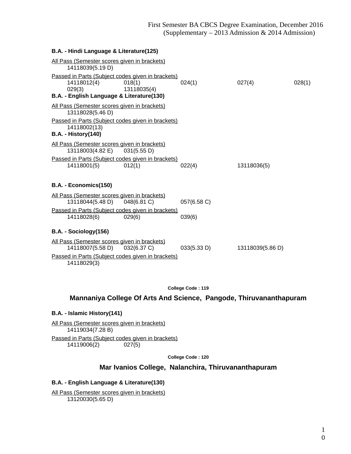### **B.A. - Hindi Language & Literature(125)**

| All Pass (Semester scores given in brackets)<br>14118039(5.19 D)                                                        |                       |             |                  |        |
|-------------------------------------------------------------------------------------------------------------------------|-----------------------|-------------|------------------|--------|
| Passed in Parts (Subject codes given in brackets)<br>14118012(4)<br>029(3)<br>B.A. - English Language & Literature(130) | 018(1)<br>13118035(4) | 024(1)      | 027(4)           | 028(1) |
| All Pass (Semester scores given in brackets)<br>13118028(5.46 D)                                                        |                       |             |                  |        |
| Passed in Parts (Subject codes given in brackets)<br>14118002(13)<br><b>B.A. - History(140)</b>                         |                       |             |                  |        |
| All Pass (Semester scores given in brackets)                                                                            |                       |             |                  |        |
| 13118003(4.82 E) 031(5.55 D)                                                                                            |                       |             |                  |        |
| Passed in Parts (Subject codes given in brackets)<br>14118001(5)                                                        | 012(1)                | 022(4)      | 13118036(5)      |        |
| B.A. - Economics(150)                                                                                                   |                       |             |                  |        |
| All Pass (Semester scores given in brackets)<br>13118044(5.48 D)                                                        | 048(6.81 C)           | 057(6.58 C) |                  |        |
| Passed in Parts (Subject codes given in brackets)                                                                       |                       |             |                  |        |
| 14118028(6)                                                                                                             | 029(6)                | 039(6)      |                  |        |
| B.A. - Sociology(156)                                                                                                   |                       |             |                  |        |
| All Pass (Semester scores given in brackets)<br>14118007(5.58 D) 032(6.37 C)                                            |                       | 033(5.33 D) | 13118039(5.86 D) |        |
| Passed in Parts (Subject codes given in brackets)<br>14118029(3)                                                        |                       |             |                  |        |

**College Code : 119**

# **Mannaniya College Of Arts And Science, Pangode, Thiruvananthapuram**

### **B.A. - Islamic History(141)**

All Pass (Semester scores given in brackets) 14119034(7.28 B) Passed in Parts (Subject codes given in brackets) 14119006(2) 027(5)

**College Code : 120**

### **Mar Ivanios College, Nalanchira, Thiruvananthapuram**

### **B.A. - English Language & Literature(130)**

All Pass (Semester scores given in brackets) 13120030(5.65 D)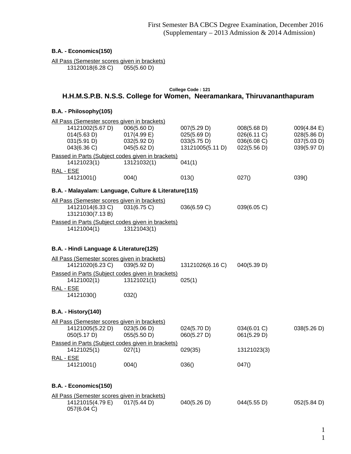## **B.A. - Economics(150)**

All Pass (Semester scores given in brackets)<br>13120018(6.28 C) 055(5.60 D) 13120018(6.28 C) 055(5.60 D)

### **College Code : 121 H.H.M.S.P.B. N.S.S. College for Women, Neeramankara, Thiruvananthapuram**

## **B.A. - Philosophy(105)**

| All Pass (Semester scores given in brackets)          |             |                  |             |             |
|-------------------------------------------------------|-------------|------------------|-------------|-------------|
| 14121002(5.67 D)                                      | 006(5.60 D) | 007(5.29 D)      | 008(5.68 D) | 009(4.84 E) |
| 014(5.63 D)                                           | 017(4.99 E) | 025(5.69 D)      | 026(6.11 C) | 028(5.86 D) |
| 031(5.91 D)                                           | 032(5.92 D) | 033(5.75 D)      | 036(6.08 C) | 037(5.03 D) |
| 043(6.36 C)                                           | 045(5.62 D) | 13121005(5.11 D) | 022(5.56 D) | 039(5.97 D) |
| Passed in Parts (Subject codes given in brackets)     |             |                  |             |             |
| 14121023(1)                                           | 13121032(1) | 041(1)           |             |             |
| RAL - ESE                                             |             |                  |             |             |
| 14121001()                                            | 004()       | 013()            | 027()       | 039()       |
| B.A. - Malayalam: Language, Culture & Literature(115) |             |                  |             |             |
| All Pass (Semester scores given in brackets)          |             |                  |             |             |
| 14121014(6.33 C)<br>13121030(7.13B)                   | 031(6.75 C) | 036(6.59 C)      | 039(6.05 C) |             |
| Passed in Parts (Subject codes given in brackets)     |             |                  |             |             |
| 14121004(1)                                           | 13121043(1) |                  |             |             |
|                                                       |             |                  |             |             |
| B.A. - Hindi Language & Literature(125)               |             |                  |             |             |
| All Pass (Semester scores given in brackets)          |             |                  |             |             |
| 14121020(6.23 C)                                      | 039(5.92 D) | 13121026(6.16 C) | 040(5.39 D) |             |
| Passed in Parts (Subject codes given in brackets)     |             |                  |             |             |
| 14121002(1)                                           | 13121021(1) | 025(1)           |             |             |
| RAL - ESE                                             |             |                  |             |             |
| 14121030()                                            | 032()       |                  |             |             |
| <b>B.A. - History(140)</b>                            |             |                  |             |             |
| All Pass (Semester scores given in brackets)          |             |                  |             |             |
| 14121005(5.22 D)                                      | 023(5.06 D) | 024(5.70 D)      | 034(6.01 C) | 038(5.26 D) |
| 050(5.17 D)                                           | 055(5.50 D) | 060(5.27 D)      | 061(5.29 D) |             |
| Passed in Parts (Subject codes given in brackets)     |             |                  |             |             |
| 14121025(1)                                           | 027(1)      | 029(35)          | 13121023(3) |             |
| RAL - ESE                                             |             |                  |             |             |
| 14121001()                                            | 004()       | 036()            | 047()       |             |
| B.A. - Economics(150)                                 |             |                  |             |             |
| All Pass (Semester scores given in brackets)          |             |                  |             |             |
| 14121015(4.79 E)                                      | 017(5.44 D) | 040(5.26 D)      | 044(5.55 D) | 052(5.84 D) |
| 057(6.04 C)                                           |             |                  |             |             |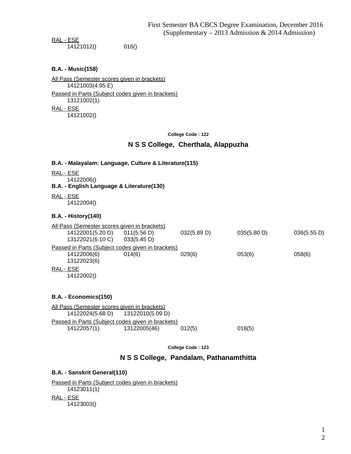RAL - ESE 14121012() 016()

### **B.A. - Music(158)**

All Pass (Semester scores given in brackets) 14121003(4.95 E) Passed in Parts (Subject codes given in brackets) 13121002(1) RAL - ESE 14121002()

**College Code : 122**

### **N S S College, Cherthala, Alappuzha**

### **B.A. - Malayalam: Language, Culture & Literature(115)**

- RAL ESE
- 14122006()
- **B.A. English Language & Literature(130)**
- RAL ESE 14122004()

#### **B.A. - History(140)**

|           | All Pass (Semester scores given in brackets) |                                                   |             |             |             |  |
|-----------|----------------------------------------------|---------------------------------------------------|-------------|-------------|-------------|--|
|           | 14122001(5.20 D)                             | 011(5.56 D)                                       | 032(5.89 D) | 035(5.80 D) | 036(5.55 D) |  |
|           | 13122021(6.10 C)                             | 033(5.45 D)                                       |             |             |             |  |
|           |                                              | Passed in Parts (Subject codes given in brackets) |             |             |             |  |
|           | 14122006(6)                                  | 014(6)                                            | 029(6)      | 053(6)      | 058(6)      |  |
|           | 13122023(6)                                  |                                                   |             |             |             |  |
| RAL - ESE |                                              |                                                   |             |             |             |  |
|           | 14122002()                                   |                                                   |             |             |             |  |
|           |                                              |                                                   |             |             |             |  |

### **B.A. - Economics(150)**

All Pass (Semester scores given in brackets) 14122024(5.68 D) 13122010(5.09 D) Passed in Parts (Subject codes given in brackets) 14122057(1) 13122005(46) 012(5) 018(5)

**College Code : 123**

**N S S College, Pandalam, Pathanamthitta**

### **B.A. - Sanskrit General(110)**

Passed in Parts (Subject codes given in brackets) 14123011(1) RAL - ESE 14123003()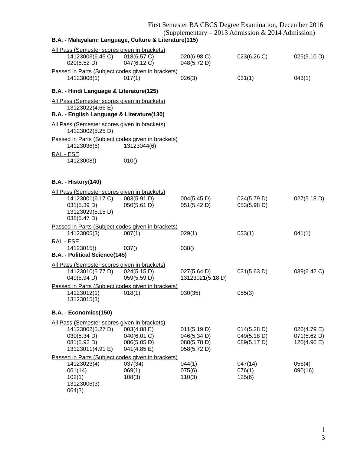## First Semester BA CBCS Degree Examination, December 2016

(Supplementary – 2013 Admission & 2014 Admission)

| B.A. - Malayalam: Language, Culture & Literature(115)                                                              |                                                          |                                                          |                                           |                                           |
|--------------------------------------------------------------------------------------------------------------------|----------------------------------------------------------|----------------------------------------------------------|-------------------------------------------|-------------------------------------------|
| All Pass (Semester scores given in brackets)<br>14123003(6.45 C)<br>029(5.52 D)                                    | 018(6.57 C)<br>047(6.12 C)                               | 020(6.98 C)<br>048(5.72 D)                               | 023(6.26 C)                               | 025(5.10 D)                               |
| Passed in Parts (Subject codes given in brackets)<br>14123008(1)                                                   | 017(1)                                                   | 026(3)                                                   | 031(1)                                    | 043(1)                                    |
| B.A. - Hindi Language & Literature(125)                                                                            |                                                          |                                                          |                                           |                                           |
| All Pass (Semester scores given in brackets)<br>13123022(4.66 E)<br>B.A. - English Language & Literature(130)      |                                                          |                                                          |                                           |                                           |
| All Pass (Semester scores given in brackets)                                                                       |                                                          |                                                          |                                           |                                           |
| 14123002(5.25 D)                                                                                                   |                                                          |                                                          |                                           |                                           |
| Passed in Parts (Subject codes given in brackets)<br>14123036(6)                                                   | 13123044(6)                                              |                                                          |                                           |                                           |
| RAL - ESE<br>14123008()                                                                                            | 010()                                                    |                                                          |                                           |                                           |
| <b>B.A. - History(140)</b>                                                                                         |                                                          |                                                          |                                           |                                           |
| All Pass (Semester scores given in brackets)<br>14123001(6.17 C)<br>031(5.39 D)<br>13123029(5.15 D)<br>038(5.47 D) | 003(5.91 D)<br>050(5.61 D)                               | 004(5.45 D)<br>051(5.42 D)                               | 024(5.79 D)<br>053(5.98 D)                | 027(5.18 D)                               |
| Passed in Parts (Subject codes given in brackets)<br>14123005(3)                                                   | 007(1)                                                   | 029(1)                                                   | 033(1)                                    | 041(1)                                    |
| RAL - ESE<br>14123015()<br>B.A. - Political Science(145)                                                           | 037()                                                    | 038()                                                    |                                           |                                           |
| All Pass (Semester scores given in brackets)<br>14123010(5.77 D)<br>049(5.94 D)                                    | 024(5.15 D)<br>059(5.59 D)                               | 027(5.64 D)<br>13123021(5.18 D)                          | 031(5.63 D)                               | 039(6.42 C)                               |
| Passed in Parts (Subject codes given in brackets)<br>14123012(1)<br>13123015(3)                                    | 018(1)                                                   | 030(35)                                                  | 055(3)                                    |                                           |
| B.A. - Economics(150)                                                                                              |                                                          |                                                          |                                           |                                           |
| All Pass (Semester scores given in brackets)                                                                       |                                                          |                                                          |                                           |                                           |
| 14123002(5.27 D)<br>030(5.34 D)<br>081(5.92 D)<br>13123011(4.91 E)                                                 | 003(4.88 E)<br>040(6.01 C)<br>086(5.05 D)<br>041(4.85 E) | 011(5.19 D)<br>046(5.34 D)<br>088(5.78 D)<br>058(5.72 D) | 014(5.28 D)<br>049(5.18 D)<br>089(5.17 D) | 026(4.79 E)<br>071(5.62 D)<br>120(4.96 E) |
| Passed in Parts (Subject codes given in brackets)<br>14123023(4)<br>061(14)<br>102(1)<br>13123006(3)<br>064(3)     | 037(34)<br>069(1)<br>108(3)                              | 044(1)<br>075(6)<br>110(3)                               | 047(14)<br>076(1)<br>125(6)               | 056(4)<br>090(16)                         |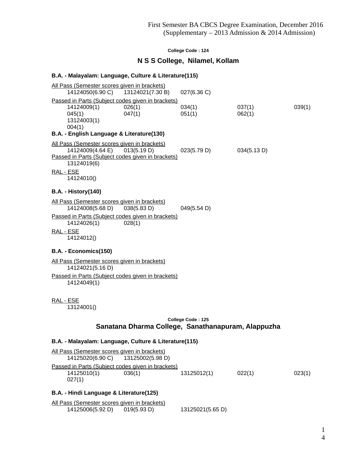### **N S S College, Nilamel, Kollam**

#### **B.A. - Malayalam: Language, Culture & Literature(115)**

All Pass (Semester scores given in brackets) 14124050(6.90 C) 13124021(7.30 B) 027(6.36 C) Passed in Parts (Subject codes given in brackets) 14124009(1) 026(1) 034(1) 037(1) 039(1) 045(1) 047(1) 051(1) 062(1) 13124003(1) 004(1) **B.A. - English Language & Literature(130)** All Pass (Semester scores given in brackets) 14124009(4.64 E) 013(5.19 D) 023(5.79 D) 034(5.13 D) Passed in Parts (Subject codes given in brackets) 13124019(6) RAL - ESE 14124010() **B.A. - History(140)** All Pass (Semester scores given in brackets) 14124008(5.68 D) 038(5.83 D) 049(5.54 D) Passed in Parts (Subject codes given in brackets) 14124026(1) 028(1) RAL - ESE 14124012() **B.A. - Economics(150)** All Pass (Semester scores given in brackets) 14124021(5.16 D) Passed in Parts (Subject codes given in brackets) 14124049(1) RAL - ESE 13124001() **College Code : 125**

# **Sanatana Dharma College, Sanathanapuram, Alappuzha**

#### **B.A. - Malayalam: Language, Culture & Literature(115)**

| All Pass (Semester scores given in brackets)<br>14125020(6.90 C) 13125002(5.98 D) |        |             |        |        |
|-----------------------------------------------------------------------------------|--------|-------------|--------|--------|
| Passed in Parts (Subject codes given in brackets)                                 |        |             |        |        |
| 14125010(1)                                                                       | 036(1) | 13125012(1) | 022(1) | 023(1) |
| 027(1)                                                                            |        |             |        |        |

### **B.A. - Hindi Language & Literature(125)**

|                  | All Pass (Semester scores given in brackets) |                  |
|------------------|----------------------------------------------|------------------|
| 14125006(5.92 D) | 019(5.93 D)                                  | 13125021(5.65 D) |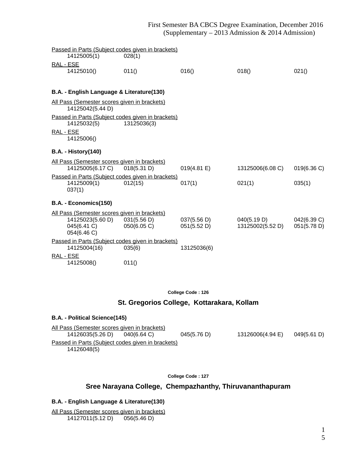### First Semester BA CBCS Degree Examination, December 2016 (Supplementary – 2013 Admission & 2014 Admission)

| Passed in Parts (Subject codes given in brackets) |             |             |                  |             |
|---------------------------------------------------|-------------|-------------|------------------|-------------|
| 14125005(1)                                       | 028(1)      |             |                  |             |
| RAL - ESE                                         |             |             |                  |             |
| 14125010()                                        | 011()       | 016()       | 018()            | 021()       |
| B.A. - English Language & Literature(130)         |             |             |                  |             |
| All Pass (Semester scores given in brackets)      |             |             |                  |             |
| 14125042(5.44 D)                                  |             |             |                  |             |
| Passed in Parts (Subject codes given in brackets) |             |             |                  |             |
| 14125032(5)                                       | 13125036(3) |             |                  |             |
| RAL - ESE<br>14125006()                           |             |             |                  |             |
| <b>B.A. - History(140)</b>                        |             |             |                  |             |
| All Pass (Semester scores given in brackets)      |             |             |                  |             |
| 14125005(6.17 C) 018(5.31 D)                      |             | 019(4.81 E) | 13125006(6.08 C) | 019(6.36 C) |
| Passed in Parts (Subject codes given in brackets) |             |             |                  |             |
| 14125009(1)<br>037(1)                             | 012(15)     | 017(1)      | 021(1)           | 035(1)      |
| B.A. - Economics(150)                             |             |             |                  |             |
| All Pass (Semester scores given in brackets)      |             |             |                  |             |
| 14125023(5.60 D)                                  | 031(5.56 D) | 037(5.56 D) | 040(5.19 D)      | 042(6.39 C) |
| 045(6.41 C)<br>054(6.46 C)                        | 050(6.05 C) | 051(5.52 D) | 13125002(5.52 D) | 051(5.78 D) |
| Passed in Parts (Subject codes given in brackets) |             |             |                  |             |
| 14125004(16)                                      | 035(6)      | 13125036(6) |                  |             |
| RAL - ESE                                         |             |             |                  |             |
| 14125008()                                        | 011()       |             |                  |             |

**College Code : 126**

### **St. Gregorios College, Kottarakara, Kollam**

## **B.A. - Political Science(145)** All Pass (Semester scores given in brackets) 14126035(5.26 D) 040(6.64 C) 045(5.76 D) 13126006(4.94 E) 049(5.61 D) Passed in Parts (Subject codes given in brackets) 14126048(5)

**College Code : 127**

## **Sree Narayana College, Chempazhanthy, Thiruvananthapuram**

### **B.A. - English Language & Literature(130)**

All Pass (Semester scores given in brackets) 14127011(5.12 D) 056(5.46 D)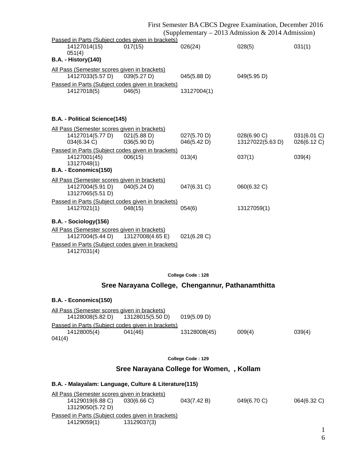|                                                     | First Semester BA CBCS Degree Examination, December 2016 |                   |                  |             |
|-----------------------------------------------------|----------------------------------------------------------|-------------------|------------------|-------------|
| (Supplementary – 2013 Admission & 2014 Admission)   |                                                          |                   |                  |             |
| Passed in Parts (Subject codes given in brackets)   |                                                          |                   |                  |             |
| 14127014(15)                                        | 017(15)                                                  | 026(24)           | 028(5)           | 031(1)      |
| 051(4)                                              |                                                          |                   |                  |             |
| <b>B.A. - History(140)</b>                          |                                                          |                   |                  |             |
| All Pass (Semester scores given in brackets)        |                                                          |                   |                  |             |
| 14127033(5.57 D) 039(5.27 D)                        |                                                          | 045(5.88 D)       | 049(5.95 D)      |             |
| Passed in Parts (Subject codes given in brackets)   |                                                          |                   |                  |             |
| 14127018(5)                                         | 046(5)                                                   | 13127004(1)       |                  |             |
|                                                     |                                                          |                   |                  |             |
|                                                     |                                                          |                   |                  |             |
| B.A. - Political Science(145)                       |                                                          |                   |                  |             |
|                                                     |                                                          |                   |                  |             |
| All Pass (Semester scores given in brackets)        |                                                          |                   |                  |             |
| 14127014(5.77 D)                                    | 021(5.88 D)                                              | 027(5.70 D)       | 028(6.90 C)      | 031(6.01 C) |
| 034(6.34 C)                                         | 036(5.90 D)                                              | 046(5.42 D)       | 13127022(5.63 D) | 026(6.12 C) |
| Passed in Parts (Subject codes given in brackets)   |                                                          |                   |                  |             |
| 14127001(45)                                        | 006(15)                                                  | 013(4)            | 037(1)           | 039(4)      |
| 13127048(1)<br>B.A. - Economics(150)                |                                                          |                   |                  |             |
|                                                     |                                                          |                   |                  |             |
| <u>All Pass (Semester scores given in brackets)</u> |                                                          |                   |                  |             |
| 14127004(5.91 D)                                    | 040(5.24 D)                                              | 047(6.31 C)       | 060(6.32 C)      |             |
| 13127065(5.51 D)                                    |                                                          |                   |                  |             |
| Passed in Parts (Subject codes given in brackets)   |                                                          |                   |                  |             |
| 14127021(1)                                         | 048(15)                                                  | 054(6)            | 13127059(1)      |             |
| B.A. - Sociology(156)                               |                                                          |                   |                  |             |
| All Pass (Semester scores given in brackets)        |                                                          |                   |                  |             |
| 14127004(5.44 D)                                    | 13127008(4.65 E)                                         | 021(6.28 C)       |                  |             |
| Passed in Parts (Subject codes given in brackets)   |                                                          |                   |                  |             |
| 14127031(4)                                         |                                                          |                   |                  |             |
|                                                     |                                                          |                   |                  |             |
|                                                     |                                                          |                   |                  |             |
|                                                     |                                                          |                   |                  |             |
|                                                     |                                                          | College Code: 128 |                  |             |

# **Sree Narayana College, Chengannur, Pathanamthitta**

## **B.A. - Economics(150)**

| <u>All Pass (Semester scores given in brackets)</u> |                  |              |        |        |
|-----------------------------------------------------|------------------|--------------|--------|--------|
| 14128008(5.82 D)                                    | 13128015(5.50 D) | 019(5.09 D)  |        |        |
| Passed in Parts (Subject codes given in brackets)   |                  |              |        |        |
| 14128005(4)                                         | 041(46)          | 13128008(45) | 009(4) | 039(4) |
| 041(4)                                              |                  |              |        |        |

**College Code : 129**

## **Sree Narayana College for Women, , Kollam**

## **B.A. - Malayalam: Language, Culture & Literature(115)**

| All Pass (Semester scores given in brackets)      |             |             |             |             |  |
|---------------------------------------------------|-------------|-------------|-------------|-------------|--|
| 14129019(6.88 C)                                  | 030(6.66)   | 043(7.42 B) | 049(6.70 C) | 064(6.32 C) |  |
| 13129050(5.72 D)                                  |             |             |             |             |  |
| Passed in Parts (Subject codes given in brackets) |             |             |             |             |  |
| 14129059(1)                                       | 13129037(3) |             |             |             |  |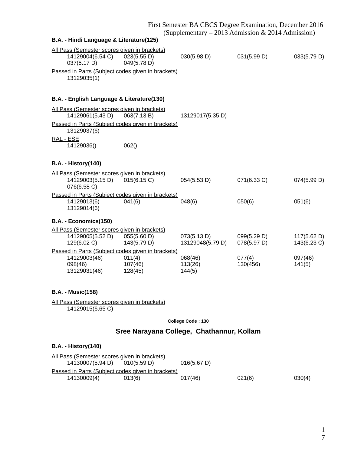| B.A. - Hindi Language & Literature(125)                                                                                                             |                              |                                 |                            |                            |
|-----------------------------------------------------------------------------------------------------------------------------------------------------|------------------------------|---------------------------------|----------------------------|----------------------------|
| All Pass (Semester scores given in brackets)<br>14129004(6.54 C)<br>037(5.17 D)<br>Passed in Parts (Subject codes given in brackets)<br>13129035(1) | 023(5.55 D)<br>049(5.78 D)   | 030(5.98 D)                     | 031(5.99 D)                | 033(5.79 D)                |
| B.A. - English Language & Literature(130)                                                                                                           |                              |                                 |                            |                            |
| All Pass (Semester scores given in brackets)<br>14129061(5.43 D)                                                                                    | 063(7.13 B)                  | 13129017(5.35 D)                |                            |                            |
| Passed in Parts (Subject codes given in brackets)<br>13129037(6)                                                                                    |                              |                                 |                            |                            |
| RAL - ESE<br>14129036()                                                                                                                             | 062()                        |                                 |                            |                            |
| <b>B.A. - History(140)</b>                                                                                                                          |                              |                                 |                            |                            |
| All Pass (Semester scores given in brackets)<br>14129003(5.15 D)<br>076(6.58 C)                                                                     | 015(6.15 C)                  | 054(5.53 D)                     | 071(6.33 C)                | 074(5.99 D)                |
| Passed in Parts (Subject codes given in brackets)<br>14129013(6)<br>13129014(6)                                                                     | 041(6)                       | 048(6)                          | 050(6)                     | 051(6)                     |
| B.A. - Economics(150)                                                                                                                               |                              |                                 |                            |                            |
| All Pass (Semester scores given in brackets)<br>14129005(5.52 D)<br>129(6.02 C)                                                                     | 055(5.60 D)<br>143(5.79 D)   | 073(5.13 D)<br>13129048(5.79 D) | 099(5.29 D)<br>078(5.97 D) | 117(5.62 D)<br>143(6.23 C) |
| Passed in Parts (Subject codes given in brackets)<br>14129003(46)<br>098(46)<br>13129031(46)                                                        | 011(4)<br>107(46)<br>128(45) | 068(46)<br>113(26)<br>144(5)    | 077(4)<br>130(456)         | 097(46)<br>141(5)          |
| <b>B.A. - Music(158)</b>                                                                                                                            |                              |                                 |                            |                            |
| All Pass (Semester scores given in brackets)<br>14129015(6.65 C)                                                                                    |                              |                                 |                            |                            |
|                                                                                                                                                     |                              | College Code: 130               |                            |                            |

## **Sree Narayana College, Chathannur, Kollam**

## **B.A. - History(140)**

| All Pass (Semester scores given in brackets)      |        |             |        |        |
|---------------------------------------------------|--------|-------------|--------|--------|
| 14130007(5.94 D) 010(5.59 D)                      |        | 016(5.67 D) |        |        |
| Passed in Parts (Subject codes given in brackets) |        |             |        |        |
| 14130009(4)                                       | 013(6) | 017(46)     | 021(6) | 030(4) |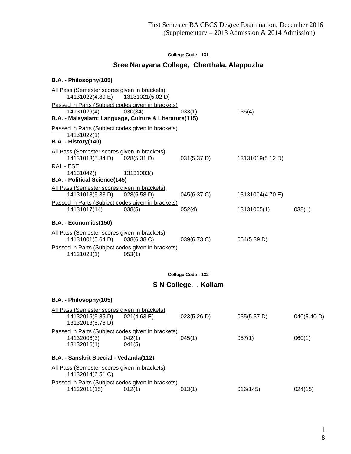## **Sree Narayana College, Cherthala, Alappuzha**

## **B.A. - Philosophy(105)**

| All Pass (Semester scores given in brackets)                |                                                                                                                                                                                                                             |                                                                                                                                                                                                         |                                                                                                                   |
|-------------------------------------------------------------|-----------------------------------------------------------------------------------------------------------------------------------------------------------------------------------------------------------------------------|---------------------------------------------------------------------------------------------------------------------------------------------------------------------------------------------------------|-------------------------------------------------------------------------------------------------------------------|
| Passed in Parts (Subject codes given in brackets)           |                                                                                                                                                                                                                             |                                                                                                                                                                                                         |                                                                                                                   |
|                                                             |                                                                                                                                                                                                                             |                                                                                                                                                                                                         |                                                                                                                   |
| Passed in Parts (Subject codes given in brackets)           |                                                                                                                                                                                                                             |                                                                                                                                                                                                         |                                                                                                                   |
|                                                             |                                                                                                                                                                                                                             |                                                                                                                                                                                                         |                                                                                                                   |
| All Pass (Semester scores given in brackets)                |                                                                                                                                                                                                                             |                                                                                                                                                                                                         |                                                                                                                   |
|                                                             |                                                                                                                                                                                                                             |                                                                                                                                                                                                         |                                                                                                                   |
|                                                             |                                                                                                                                                                                                                             |                                                                                                                                                                                                         |                                                                                                                   |
|                                                             |                                                                                                                                                                                                                             |                                                                                                                                                                                                         |                                                                                                                   |
| All Pass (Semester scores given in brackets)<br>028(5.58 D) |                                                                                                                                                                                                                             |                                                                                                                                                                                                         |                                                                                                                   |
| Passed in Parts (Subject codes given in brackets)           |                                                                                                                                                                                                                             |                                                                                                                                                                                                         |                                                                                                                   |
| 038(5)                                                      |                                                                                                                                                                                                                             |                                                                                                                                                                                                         | 038(1)                                                                                                            |
|                                                             |                                                                                                                                                                                                                             |                                                                                                                                                                                                         |                                                                                                                   |
| All Pass (Semester scores given in brackets)                |                                                                                                                                                                                                                             |                                                                                                                                                                                                         |                                                                                                                   |
|                                                             |                                                                                                                                                                                                                             |                                                                                                                                                                                                         |                                                                                                                   |
| 053(1)                                                      |                                                                                                                                                                                                                             |                                                                                                                                                                                                         |                                                                                                                   |
|                                                             |                                                                                                                                                                                                                             |                                                                                                                                                                                                         |                                                                                                                   |
|                                                             |                                                                                                                                                                                                                             |                                                                                                                                                                                                         |                                                                                                                   |
|                                                             |                                                                                                                                                                                                                             |                                                                                                                                                                                                         |                                                                                                                   |
|                                                             |                                                                                                                                                                                                                             |                                                                                                                                                                                                         |                                                                                                                   |
| All Pass (Semester scores given in brackets)                |                                                                                                                                                                                                                             |                                                                                                                                                                                                         |                                                                                                                   |
|                                                             |                                                                                                                                                                                                                             |                                                                                                                                                                                                         | 040(5.40 D)                                                                                                       |
|                                                             |                                                                                                                                                                                                                             |                                                                                                                                                                                                         |                                                                                                                   |
|                                                             |                                                                                                                                                                                                                             |                                                                                                                                                                                                         | 060(1)                                                                                                            |
| 041(5)                                                      |                                                                                                                                                                                                                             |                                                                                                                                                                                                         |                                                                                                                   |
| B.A. - Sanskrit Special - Vedanda(112)                      |                                                                                                                                                                                                                             |                                                                                                                                                                                                         |                                                                                                                   |
| All Pass (Semester scores given in brackets)                |                                                                                                                                                                                                                             |                                                                                                                                                                                                         |                                                                                                                   |
| Passed in Parts (Subject codes given in brackets)           |                                                                                                                                                                                                                             |                                                                                                                                                                                                         |                                                                                                                   |
| 012(1)                                                      |                                                                                                                                                                                                                             |                                                                                                                                                                                                         | 024(15)                                                                                                           |
|                                                             | 14131022(4.89 E) 13131021(5.02 D)<br>030(34)<br>028(5.31 D)<br>13131003()<br>038(6.38 C)<br>Passed in Parts (Subject codes given in brackets)<br>021(4.63 E)<br>Passed in Parts (Subject codes given in brackets)<br>042(1) | 033(1)<br>B.A. - Malayalam: Language, Culture & Literature(115)<br>031(5.37 D)<br>045(6.37 C)<br>052(4)<br>039(6.73 C)<br>College Code: 132<br>S N College, , Kollam<br>023(5.26 D)<br>045(1)<br>013(1) | 035(4)<br>13131019(5.12 D)<br>13131004(4.70 E)<br>13131005(1)<br>054(5.39 D)<br>035(5.37 D)<br>057(1)<br>016(145) |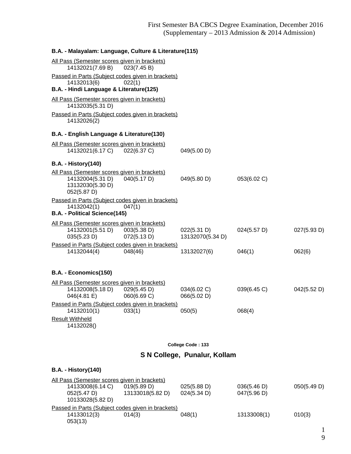| B.A. - Malayalam: Language, Culture & Literature(115)            |             |                   |             |             |
|------------------------------------------------------------------|-------------|-------------------|-------------|-------------|
| All Pass (Semester scores given in brackets)                     |             |                   |             |             |
| 14132021(7.69 B) 023(7.45 B)                                     |             |                   |             |             |
| Passed in Parts (Subject codes given in brackets)<br>14132013(6) | 022(1)      |                   |             |             |
| B.A. - Hindi Language & Literature(125)                          |             |                   |             |             |
| All Pass (Semester scores given in brackets)<br>14132035(5.31 D) |             |                   |             |             |
| Passed in Parts (Subject codes given in brackets)<br>14132026(2) |             |                   |             |             |
| B.A. - English Language & Literature(130)                        |             |                   |             |             |
| All Pass (Semester scores given in brackets)                     |             |                   |             |             |
| 14132021(6.17 C) 022(6.37 C)                                     |             | 049(5.00 D)       |             |             |
| <b>B.A. - History(140)</b>                                       |             |                   |             |             |
| All Pass (Semester scores given in brackets)                     |             |                   |             |             |
| 14132004(5.31 D)                                                 | 040(5.17 D) | 049(5.80 D)       | 053(6.02 C) |             |
| 13132030(5.30 D)                                                 |             |                   |             |             |
| 052(5.87 D)                                                      |             |                   |             |             |
| Passed in Parts (Subject codes given in brackets)                |             |                   |             |             |
| 14132042(1)<br>B.A. - Political Science(145)                     | 047(1)      |                   |             |             |
|                                                                  |             |                   |             |             |
| All Pass (Semester scores given in brackets)                     |             |                   |             |             |
| 14132001(5.51 D)                                                 | 003(5.38 D) | 022(5.31 D)       | 024(5.57 D) | 027(5.93 D) |
| 035(5.23 D)                                                      | 072(5.13 D) | 13132070(5.34 D)  |             |             |
| Passed in Parts (Subject codes given in brackets)<br>14132044(4) | 048(46)     |                   | 046(1)      |             |
|                                                                  |             | 13132027(6)       |             | 062(6)      |
|                                                                  |             |                   |             |             |
| B.A. - Economics(150)                                            |             |                   |             |             |
| All Pass (Semester scores given in brackets)                     |             |                   |             |             |
| 14132008(5.18 D)                                                 | 029(5.45 D) | 034(6.02 C)       | 039(6.45 C) | 042(5.52 D) |
| 046(4.81 E)                                                      | 060(6.69 C) | 066(5.02 D)       |             |             |
| Passed in Parts (Subject codes given in brackets)                | 033(1)      |                   | 068(4)      |             |
| 14132010(1)                                                      |             | 050(5)            |             |             |
| <b>Result Withheld</b><br>14132028()                             |             |                   |             |             |
|                                                                  |             | College Code: 133 |             |             |
|                                                                  |             |                   |             |             |

# **S N College, Punalur, Kollam**

## **B.A. - History(140)**

| All Pass (Semester scores given in brackets)      |                  |             |             |             |  |
|---------------------------------------------------|------------------|-------------|-------------|-------------|--|
| 14133008(6.14 C)                                  | 019(5.89 D)      | 025(5.88 D) | 036(5.46 D) | 050(5.49 D) |  |
| 052(5.47 D)                                       | 13133018(5.82 D) | 024(5.34 D) | 047(5.96 D) |             |  |
| 10133028(5.82 D)                                  |                  |             |             |             |  |
| Passed in Parts (Subject codes given in brackets) |                  |             |             |             |  |
| 14133012(3)                                       | 014(3)           | 048(1)      | 13133008(1) | 010(3)      |  |
| 053(13)                                           |                  |             |             |             |  |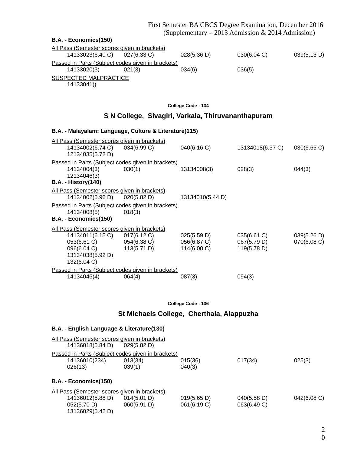First Semester BA CBCS Degree Examination, December 2016 (Supplementary – 2013 Admission & 2014 Admission)

| B.A. - Economics(150)                             |             |             |             |             |
|---------------------------------------------------|-------------|-------------|-------------|-------------|
| All Pass (Semester scores given in brackets)      |             |             |             |             |
| 14133023(6.40 C)                                  | 027(6.33 C) | 028(5.36 D) | 030(6.04 C) | 039(5.13 D) |
| Passed in Parts (Subject codes given in brackets) |             |             |             |             |
| 14133020(3)                                       | 021(3)      | 034(6)      | 036(5)      |             |
| SUSPECTED MALPRACTICE                             |             |             |             |             |
| 14133041()                                        |             |             |             |             |

**College Code : 134**

## **S N College, Sivagiri, Varkala, Thiruvananthapuram**

|                                                          |                                                     | B.A. - Malayalam: Language, Culture & Literature(115)                                                              |                                           |                                           |                            |
|----------------------------------------------------------|-----------------------------------------------------|--------------------------------------------------------------------------------------------------------------------|-------------------------------------------|-------------------------------------------|----------------------------|
|                                                          | 14134002(6.74 C)<br>12134035(5.72 D)                | <u>All Pass (Semester scores given in brackets)</u><br>034(6.99 C)                                                 | 040(6.16 C)                               | 13134018(6.37 C)                          | 030(6.65 C)                |
| 14134004(3)<br>12134046(3)<br><b>B.A. - History(140)</b> |                                                     | Passed in Parts (Subject codes given in brackets)<br>030(1)                                                        | 13134008(3)                               | 028(3)                                    | 044(3)                     |
| 14134008(5)<br>B.A. - Economics(150)                     | 14134002(5.96 D) 020(5.82 D)                        | <u>All Pass (Semester scores given in brackets)</u><br>Passed in Parts (Subject codes given in brackets)<br>018(3) | 13134010(5.44 D)                          |                                           |                            |
| 053(6.61 C)<br>132(6.04 C)                               | 14134011(6.15 C)<br>096(6.04 C)<br>13134038(5.92 D) | All Pass (Semester scores given in brackets)<br>017(6.12 C)<br>054(6.38 C)<br>113(5.71 D)                          | 025(5.59 D)<br>056(6.87 C)<br>114(6.00 C) | 035(6.61 C)<br>067(5.79 D)<br>119(5.78 D) | 039(5.26 D)<br>070(6.08 C) |
| 14134046(4)                                              |                                                     | Passed in Parts (Subject codes given in brackets)<br>064(4)                                                        | 087(3)                                    | 094(3)                                    |                            |

**College Code : 136**

## **St Michaels College, Cherthala, Alappuzha**

## **B.A. - English Language & Literature(130)**

| All Pass (Semester scores given in brackets)      |             |         |         |        |  |
|---------------------------------------------------|-------------|---------|---------|--------|--|
| 14136018(5.84 D)                                  | 029(5.82 D) |         |         |        |  |
| Passed in Parts (Subject codes given in brackets) |             |         |         |        |  |
| 14136010(234)                                     | 013(34)     | 015(36) | 017(34) | 025(3) |  |
| 026(13)                                           | 039(1)      | 040(3)  |         |        |  |
| B.A. - Economics(150)                             |             |         |         |        |  |
|                                                   |             |         |         |        |  |

| All Pass (Semester scores given in brackets) |             |             |             |                |
|----------------------------------------------|-------------|-------------|-------------|----------------|
| 14136012(5.88 D)                             | 014(5.01 D) | 019(5.65 D) | 040(5.58 D) | $042(6.08)$ C) |
| 052(5.70 D)                                  | 060(5.91 D) | 061(6.19 C) | 063(6.49 C) |                |
| 13136029(5.42 D)                             |             |             |             |                |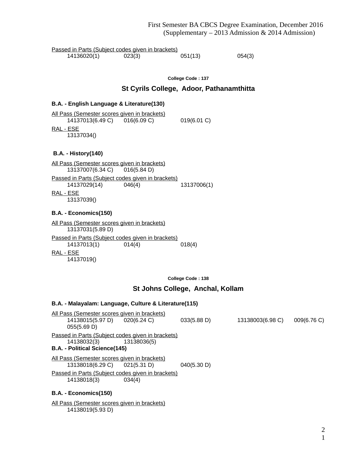| Passed in Parts (Subject codes given in brackets)                                                                                                                                                                                                                                                                                                                    |                                          |                  |             |
|----------------------------------------------------------------------------------------------------------------------------------------------------------------------------------------------------------------------------------------------------------------------------------------------------------------------------------------------------------------------|------------------------------------------|------------------|-------------|
| 14136020(1)<br>023(3)                                                                                                                                                                                                                                                                                                                                                | 051(13)                                  | 054(3)           |             |
|                                                                                                                                                                                                                                                                                                                                                                      | College Code: 137                        |                  |             |
|                                                                                                                                                                                                                                                                                                                                                                      | St Cyrils College, Adoor, Pathanamthitta |                  |             |
| B.A. - English Language & Literature(130)                                                                                                                                                                                                                                                                                                                            |                                          |                  |             |
| <u>All Pass (Semester scores given in brackets)</u><br>14137013(6.49 C) 016(6.09 C)<br><u>RAL - ESE</u><br>13137034()                                                                                                                                                                                                                                                | 019(6.01 C)                              |                  |             |
| <b>B.A. - History(140)</b>                                                                                                                                                                                                                                                                                                                                           |                                          |                  |             |
| All Pass (Semester scores given in brackets)<br>13137007(6.34 C)<br>016(5.84 D)<br>Passed in Parts (Subject codes given in brackets)<br>14137029(14)<br>046(4)<br>RAL - ESE<br>13137039()<br>B.A. - Economics(150)<br>All Pass (Semester scores given in brackets)<br>13137031(5.89 D)<br>Passed in Parts (Subject codes given in brackets)<br>014(4)<br>14137013(1) | 13137006(1)<br>018(4)                    |                  |             |
| RAL - ESE<br>14137019()                                                                                                                                                                                                                                                                                                                                              |                                          |                  |             |
|                                                                                                                                                                                                                                                                                                                                                                      | College Code: 138                        |                  |             |
|                                                                                                                                                                                                                                                                                                                                                                      | St Johns College, Anchal, Kollam         |                  |             |
| B.A. - Malayalam: Language, Culture & Literature(115)                                                                                                                                                                                                                                                                                                                |                                          |                  |             |
| All Pass (Semester scores given in brackets)<br>14138015(5.97 D)<br>020(6.24 C)<br>055(5.69 D)                                                                                                                                                                                                                                                                       | 033(5.88 D)                              | 13138003(6.98 C) | 009(6.76 C) |
| Passed in Parts (Subject codes given in brackets)<br>14138032(3)<br>13138036(5)<br>B.A. - Political Science(145)                                                                                                                                                                                                                                                     |                                          |                  |             |
| All Pass (Semester scores given in brackets)<br>13138018(6.29 C)<br>021(5.31 D)                                                                                                                                                                                                                                                                                      | 040(5.30 D)                              |                  |             |

**B.A. - Economics(150)**

All Pass (Semester scores given in brackets) 14138019(5.93 D)

14138018(3) 034(4)

Passed in Parts (Subject codes given in brackets)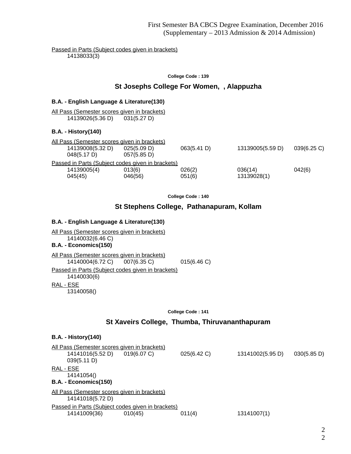Passed in Parts (Subject codes given in brackets) 14138033(3)

**College Code : 139**

### **St Josephs College For Women, , Alappuzha**

### **B.A. - English Language & Literature(130)**

All Pass (Semester scores given in brackets) 14139026(5.36 D) 031(5.27 D)

### **B.A. - History(140)**

| All Pass (Semester scores given in brackets) |                                                   |             |                  |             |
|----------------------------------------------|---------------------------------------------------|-------------|------------------|-------------|
| 14139008(5.32 D)                             | 025(5.09 D)                                       | 063(5.41 D) | 13139005(5.59 D) | 039(6.25 C) |
| 048(5.17 D)                                  | 057(5.85 D)                                       |             |                  |             |
|                                              | Passed in Parts (Subject codes given in brackets) |             |                  |             |
| 14139005(4)                                  | 013(6)                                            | 026(2)      | 036(14)          | 042(6)      |
| 045(45)                                      | 046(56)                                           | 051(6)      | 13139028(1)      |             |
|                                              |                                                   |             |                  |             |

**College Code : 140**

### **St Stephens College, Pathanapuram, Kollam**

### **B.A. - English Language & Literature(130)**

All Pass (Semester scores given in brackets) 14140032(6.46 C) **B.A. - Economics(150)**

All Pass (Semester scores given in brackets) 14140004(6.72 C) 007(6.35 C) 015(6.46 C)

Passed in Parts (Subject codes given in brackets) 14140030(6) RAL - ESE

13140058()

**College Code : 141**

### **St Xaveirs College, Thumba, Thiruvananthapuram**

#### **B.A. - History(140)**

|           | All Pass (Semester scores given in brackets) |                                                   |             |                  |             |
|-----------|----------------------------------------------|---------------------------------------------------|-------------|------------------|-------------|
|           | 14141016(5.52 D)                             | $019(6.07)$ C)                                    | 025(6.42 C) | 13141002(5.95 D) | 030(5.85 D) |
|           | 039(5.11 D)                                  |                                                   |             |                  |             |
| RAL - ESE |                                              |                                                   |             |                  |             |
|           | 14141054()                                   |                                                   |             |                  |             |
|           | B.A. - Economics(150)                        |                                                   |             |                  |             |
|           | All Pass (Semester scores given in brackets) |                                                   |             |                  |             |
|           | 14141018(5.72 D)                             |                                                   |             |                  |             |
|           |                                              | Passed in Parts (Subject codes given in brackets) |             |                  |             |
|           | 14141009(36)                                 | 010(45)                                           | 011(4)      | 13141007(1)      |             |
|           |                                              |                                                   |             |                  |             |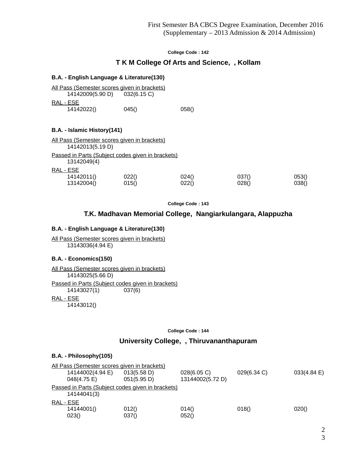### **T K M College Of Arts and Science, , Kollam**

### **B.A. - English Language & Literature(130)**

| <u>All Pass (Semester scores given in brackets)</u> |       |       |
|-----------------------------------------------------|-------|-------|
| 14142009(5.90 D) 032(6.15 C)                        |       |       |
| RAL - ESE                                           |       |       |
| 14142022()                                          | 045() | 058() |

### **B.A. - Islamic History(141)**

|                  | All Pass (Semester scores given in brackets)      |       |       |       |
|------------------|---------------------------------------------------|-------|-------|-------|
| 14142013(5.19 D) |                                                   |       |       |       |
| 13142049(4)      | Passed in Parts (Subject codes given in brackets) |       |       |       |
| RAL - ESE        |                                                   |       |       |       |
| 14142011()       | 022()                                             | 024() | 037() | 053() |
| 13142004()       | 015()                                             | 022() | 028() | 038() |

**College Code : 143**

### **T.K. Madhavan Memorial College, Nangiarkulangara, Alappuzha**

### **B.A. - English Language & Literature(130)**

All Pass (Semester scores given in brackets) 13143036(4.94 E)

### **B.A. - Economics(150)**

All Pass (Semester scores given in brackets) 14143025(5.66 D) Passed in Parts (Subject codes given in brackets) 14143027(1) 037(6) RAL - ESE 14143012()

**College Code : 144**

## **University College, , Thiruvananthapuram**

### **B.A. - Philosophy(105)**

| All Pass (Semester scores given in brackets) |                                                   |                  |             |             |
|----------------------------------------------|---------------------------------------------------|------------------|-------------|-------------|
| 14144002(4.94 E)                             | 013(5.58 D)                                       | 028(6.05 C)      | 029(6.34 C) | 033(4.84 E) |
| 048(4.75 E)                                  | 051(5.95 D)                                       | 13144002(5.72 D) |             |             |
|                                              | Passed in Parts (Subject codes given in brackets) |                  |             |             |
| 14144041(3)                                  |                                                   |                  |             |             |
| RAL - ESE                                    |                                                   |                  |             |             |
| 14144001()                                   | 012()                                             | 014()            | 018()       | 020()       |
| 023()                                        | 037()                                             | 052()            |             |             |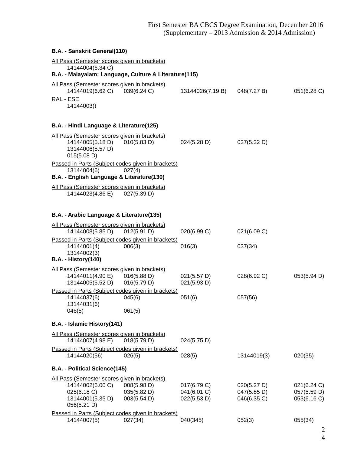| B.A. - Sanskrit General(110)                                                                                              |                                           |                                           |                                           |                                           |
|---------------------------------------------------------------------------------------------------------------------------|-------------------------------------------|-------------------------------------------|-------------------------------------------|-------------------------------------------|
| All Pass (Semester scores given in brackets)<br>14144004(6.34 C)<br>B.A. - Malayalam: Language, Culture & Literature(115) |                                           |                                           |                                           |                                           |
| All Pass (Semester scores given in brackets)<br>14144019(6.62 C)<br>RAL - ESE<br>14144003()                               | 039(6.24 C)                               | 13144026(7.19 B)                          | 048(7.27 B)                               | 051(6.28 C)                               |
| B.A. - Hindi Language & Literature(125)                                                                                   |                                           |                                           |                                           |                                           |
| All Pass (Semester scores given in brackets)<br>14144005(5.18 D)<br>13144006(5.57 D)<br>015(5.08 D)                       | 010(5.83 D)                               | 024(5.28 D)                               | 037(5.32 D)                               |                                           |
| Passed in Parts (Subject codes given in brackets)<br>13144004(6)<br>B.A. - English Language & Literature(130)             | 027(4)                                    |                                           |                                           |                                           |
| All Pass (Semester scores given in brackets)<br>14144023(4.86 E) 027(5.39 D)                                              |                                           |                                           |                                           |                                           |
| B.A. - Arabic Language & Literature(135)                                                                                  |                                           |                                           |                                           |                                           |
| All Pass (Semester scores given in brackets)<br>14144008(5.85 D)                                                          | 012(5.91 D)                               | 020(6.99 C)                               | 021(6.09 C)                               |                                           |
| Passed in Parts (Subject codes given in brackets)<br>14144001(4)<br>13144002(3)<br><b>B.A. - History(140)</b>             | 006(3)                                    | 016(3)                                    | 037(34)                                   |                                           |
| All Pass (Semester scores given in brackets)<br>14144011(4.90 E)<br>13144005(5.52 D)                                      | 016(5.88 D)<br>016(5.79 D)                | 021(5.57 D)<br>021(5.93 D)                | 028(6.92 C)                               | 053(5.94 D)                               |
| Passed in Parts (Subject codes given in brackets)<br>14144037(6)<br>13144031(6)<br>046(5)                                 | 045(6)<br>061(5)                          | 051(6)                                    | 057(56)                                   |                                           |
| B.A. - Islamic History(141)                                                                                               |                                           |                                           |                                           |                                           |
| <u>All Pass (Semester scores given in brackets)</u><br>14144007(4.98 E)                                                   | 018(5.79 D)                               | 024(5.75 D)                               |                                           |                                           |
| Passed in Parts (Subject codes given in brackets)<br>14144020(56)                                                         | 026(5)                                    | 028(5)                                    | 13144019(3)                               | 020(35)                                   |
| B.A. - Political Science(145)                                                                                             |                                           |                                           |                                           |                                           |
| All Pass (Semester scores given in brackets)<br>14144002(6.00 C)<br>025(6.18 C)<br>13144001(5.35 D)<br>056(5.21 D)        | 008(5.98 D)<br>035(5.82 D)<br>003(5.54 D) | 017(6.79 C)<br>041(6.01 C)<br>022(5.53 D) | 020(5.27 D)<br>047(5.85 D)<br>046(6.35 C) | 021(6.24 C)<br>057(5.59 D)<br>053(6.16 C) |
| Passed in Parts (Subject codes given in brackets)<br>14144007(5)                                                          | 027(34)                                   | 040(345)                                  | 052(3)                                    | 055(34)                                   |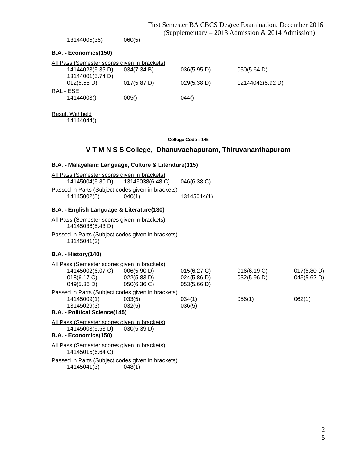|                                                                  |                                                          | I hat ochitatti DIX CDCO Degree Exuminution, December 2010<br>(Supplementary – 2013 Admission & 2014 Admission) |                            |                            |
|------------------------------------------------------------------|----------------------------------------------------------|-----------------------------------------------------------------------------------------------------------------|----------------------------|----------------------------|
| 13144005(35)                                                     | 060(5)                                                   |                                                                                                                 |                            |                            |
| B.A. - Economics(150)                                            |                                                          |                                                                                                                 |                            |                            |
| All Pass (Semester scores given in brackets)                     |                                                          |                                                                                                                 |                            |                            |
| 14144023(5.35 D)                                                 | 034(7.34 B)                                              | 036(5.95 D)                                                                                                     | 050(5.64 D)                |                            |
| 13144001(5.74 D)<br>012(5.58 D)                                  | 017(5.87 D)                                              | 029(5.38 D)                                                                                                     | 12144042(5.92 D)           |                            |
| RAL - ESE<br>14144003()                                          | 005()                                                    | 044()                                                                                                           |                            |                            |
| <b>Result Withheld</b><br>14144044()                             |                                                          |                                                                                                                 |                            |                            |
|                                                                  |                                                          | College Code: 145                                                                                               |                            |                            |
|                                                                  | V T M N S S College, Dhanuvachapuram, Thiruvananthapuram |                                                                                                                 |                            |                            |
| B.A. - Malayalam: Language, Culture & Literature(115)            |                                                          |                                                                                                                 |                            |                            |
| All Pass (Semester scores given in brackets)<br>14145004(5.80 D) | 13145038(6.48 C)                                         | 046(6.38 C)                                                                                                     |                            |                            |
| Passed in Parts (Subject codes given in brackets)                |                                                          |                                                                                                                 |                            |                            |
| 14145002(5)                                                      | 040(1)                                                   | 13145014(1)                                                                                                     |                            |                            |
| B.A. - English Language & Literature(130)                        |                                                          |                                                                                                                 |                            |                            |
| All Pass (Semester scores given in brackets)                     |                                                          |                                                                                                                 |                            |                            |
| 14145036(5.43 D)                                                 |                                                          |                                                                                                                 |                            |                            |
| Passed in Parts (Subject codes given in brackets)<br>13145041(3) |                                                          |                                                                                                                 |                            |                            |
| <b>B.A. - History(140)</b>                                       |                                                          |                                                                                                                 |                            |                            |
| All Pass (Semester scores given in brackets)                     |                                                          |                                                                                                                 |                            |                            |
| 14145002(6.07 C)<br>018(6.17 C)                                  | 006(5.90 D)<br>022(5.83 D)                               | 015(6.27 C)<br>024(5.86 D)                                                                                      | 016(6.19 C)<br>032(5.96 D) | 017(5.80 D)<br>045(5.62 D) |
| 049(5.36 D)                                                      | 050(6.36 C)                                              | 053(5.66 D)                                                                                                     |                            |                            |
| Passed in Parts (Subject codes given in brackets)                |                                                          |                                                                                                                 |                            |                            |
| 14145009(1)<br>13145029(3)                                       | 033(5)                                                   | 034(1)                                                                                                          | 056(1)                     | 062(1)                     |
| <b>B.A. - Political Science(145)</b>                             | 032(5)                                                   | 036(5)                                                                                                          |                            |                            |
| All Pass (Semester scores given in brackets)                     |                                                          |                                                                                                                 |                            |                            |
| 14145003(5.53 D)<br>B.A. - Economics(150)                        | 030(5.39 D)                                              |                                                                                                                 |                            |                            |
| All Pass (Semester scores given in brackets)<br>14145015(6.64 C) |                                                          |                                                                                                                 |                            |                            |
| Passed in Parts (Subject codes given in brackets)                |                                                          |                                                                                                                 |                            |                            |

14145041(3) 048(1)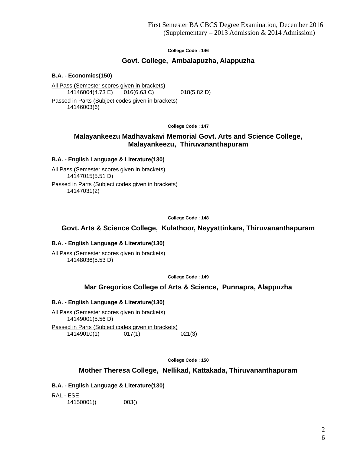## **Govt. College, Ambalapuzha, Alappuzha**

**B.A. - Economics(150)**

All Pass (Semester scores given in brackets) 14146004(4.73 E) 016(6.63 C) 018(5.82 D)

Passed in Parts (Subject codes given in brackets) 14146003(6)

**College Code : 147**

## **Malayankeezu Madhavakavi Memorial Govt. Arts and Science College, Malayankeezu, Thiruvananthapuram**

### **B.A. - English Language & Literature(130)**

All Pass (Semester scores given in brackets) 14147015(5.51 D) Passed in Parts (Subject codes given in brackets) 14147031(2)

**College Code : 148**

**Govt. Arts & Science College, Kulathoor, Neyyattinkara, Thiruvananthapuram**

### **B.A. - English Language & Literature(130)**

All Pass (Semester scores given in brackets) 14148036(5.53 D)

**College Code : 149**

## **Mar Gregorios College of Arts & Science, Punnapra, Alappuzha**

### **B.A. - English Language & Literature(130)**

All Pass (Semester scores given in brackets) 14149001(5.56 D) Passed in Parts (Subject codes given in brackets) 14149010(1) 017(1) 021(3)

**College Code : 150**

**Mother Theresa College, Nellikad, Kattakada, Thiruvananthapuram**

**B.A. - English Language & Literature(130)**

RAL - ESE 14150001() 003()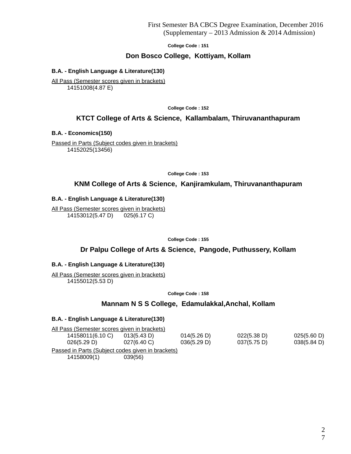### **Don Bosco College, Kottiyam, Kollam**

### **B.A. - English Language & Literature(130)**

All Pass (Semester scores given in brackets) 14151008(4.87 E)

**College Code : 152**

### **KTCT College of Arts & Science, Kallambalam, Thiruvananthapuram**

**B.A. - Economics(150)**

Passed in Parts (Subject codes given in brackets) 14152025(13456)

**College Code : 153**

### **KNM College of Arts & Science, Kanjiramkulam, Thiruvananthapuram**

### **B.A. - English Language & Literature(130)**

All Pass (Semester scores given in brackets) 14153012(5.47 D) 025(6.17 C)

**College Code : 155**

## **Dr Palpu College of Arts & Science, Pangode, Puthussery, Kollam**

### **B.A. - English Language & Literature(130)**

All Pass (Semester scores given in brackets) 14155012(5.53 D)

**College Code : 158**

### **Mannam N S S College, Edamulakkal,Anchal, Kollam**

#### **B.A. - English Language & Literature(130)**

| All Pass (Semester scores given in brackets)      |             |             |             |             |  |
|---------------------------------------------------|-------------|-------------|-------------|-------------|--|
| 14158011(6.10 C)                                  | 013(5.43 D) | 014(5.26 D) | 022(5.38 D) | 025(5.60 D) |  |
| 026(5.29 D)                                       | 027(6.40 C) | 036(5.29 D) | 037(5.75 D) | 038(5.84 D) |  |
| Passed in Parts (Subject codes given in brackets) |             |             |             |             |  |
| 14158009(1)                                       | 039(56)     |             |             |             |  |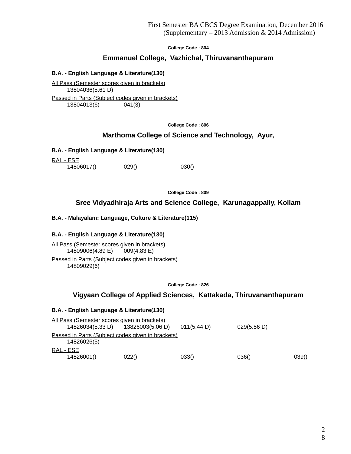### **Emmanuel College, Vazhichal, Thiruvananthapuram**

### **B.A. - English Language & Literature(130)**

All Pass (Semester scores given in brackets) 13804036(5.61 D) Passed in Parts (Subject codes given in brackets) 13804013(6) 041(3)

**College Code : 806**

## **Marthoma College of Science and Technology, Ayur,**

### **B.A. - English Language & Literature(130)**

RAL - ESE 14806017() 029() 030()

**College Code : 809**

## **Sree Vidyadhiraja Arts and Science College, Karunagappally, Kollam**

### **B.A. - Malayalam: Language, Culture & Literature(115)**

### **B.A. - English Language & Literature(130)**

All Pass (Semester scores given in brackets) 14809006(4.89 E) 009(4.83 E) Passed in Parts (Subject codes given in brackets) 14809029(6)

**College Code : 826**

### **Vigyaan College of Applied Sciences, Kattakada, Thiruvananthapuram**

### **B.A. - English Language & Literature(130)**

| All Pass (Semester scores given in brackets) |                                                   |             |             |       |
|----------------------------------------------|---------------------------------------------------|-------------|-------------|-------|
| 14826034(5.33 D)                             | 13826003(5.06 D)                                  | 011(5.44 D) | 029(5.56 D) |       |
| 14826026(5)                                  | Passed in Parts (Subject codes given in brackets) |             |             |       |
| RAL - ESE<br>14826001()                      | 022()                                             | 033()       | 036()       | 039() |